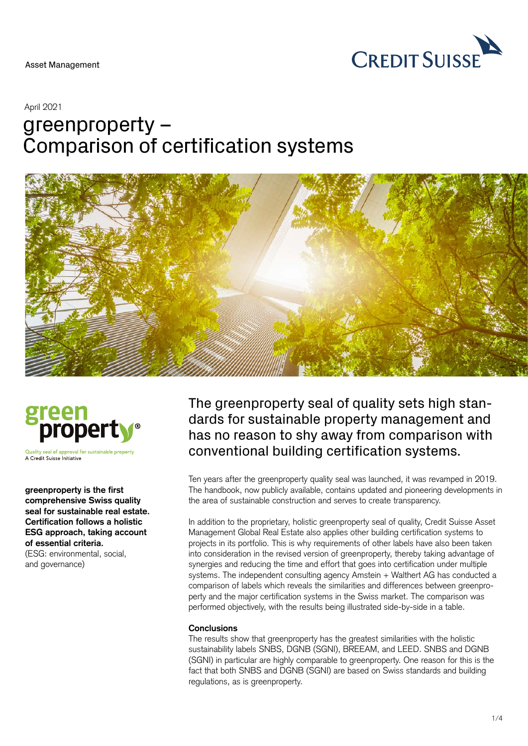

### April 2021

# greenproperty – Comparison of certification systems





Quality seal of approval for sustainable property A Credit Suisse Initiative

**greenproperty is the first comprehensive Swiss quality seal for sustainable real estate. Certification follows a holistic ESG approach, taking account of essential criteria.**  (ESG: environmental, social,

and governance)

The greenproperty seal of quality sets high standards for sustainable property management and has no reason to shy away from comparison with conventional building certification systems.

Ten years after the greenproperty quality seal was launched, it was revamped in 2019. The handbook, now publicly available, contains updated and pioneering developments in the area of sustainable construction and serves to create transparency.

In addition to the proprietary, holistic greenproperty seal of quality, Credit Suisse Asset Management Global Real Estate also applies other building certification systems to projects in its portfolio. This is why requirements of other labels have also been taken into consideration in the revised version of greenproperty, thereby taking advantage of synergies and reducing the time and effort that goes into certification under multiple systems. The independent consulting agency Amstein + Walthert AG has conducted a comparison of labels which reveals the similarities and differences between greenproperty and the major certification systems in the Swiss market. The comparison was performed objectively, with the results being illustrated side-by-side in a table.

## **Conclusions**

The results show that greenproperty has the greatest similarities with the holistic sustainability labels SNBS, DGNB (SGNI), BREEAM, and LEED. SNBS and DGNB (SGNI) in particular are highly comparable to greenproperty. One reason for this is the fact that both SNBS and DGNB (SGNI) are based on Swiss standards and building regulations, as is greenproperty.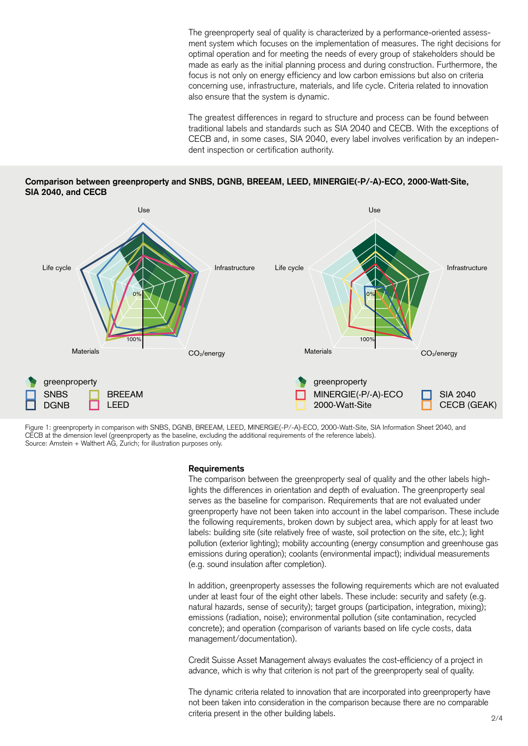The greenproperty seal of quality is characterized by a performance-oriented assessment system which focuses on the implementation of measures. The right decisions for optimal operation and for meeting the needs of every group of stakeholders should be made as early as the initial planning process and during construction. Furthermore, the focus is not only on energy efficiency and low carbon emissions but also on criteria concerning use, infrastructure, materials, and life cycle. Criteria related to innovation also ensure that the system is dynamic.

The greatest differences in regard to structure and process can be found between traditional labels and standards such as SIA 2040 and CECB. With the exceptions of CECB and, in some cases, SIA 2040, every label involves verification by an independent inspection or certification authority.

**Comparison between greenproperty and SNBS, DGNB, BREEAM, LEED, MINERGIE(-P/-A)-ECO, 2000-Watt-Site, SIA 2040, and CECB** 



Figure 1: greenproperty in comparison with SNBS, DGNB, BREEAM, LEED, MINERGIE(-P/-A)-ECO, 2000-Watt-Site, SIA Information Sheet 2040, and CECB at the dimension level (greenproperty as the baseline, excluding the additional requirements of the reference labels). Source: Amstein + Walthert AG, Zurich; for illustration purposes only.

#### **Requirements**

The comparison between the greenproperty seal of quality and the other labels highlights the differences in orientation and depth of evaluation. The greenproperty seal serves as the baseline for comparison. Requirements that are not evaluated under greenproperty have not been taken into account in the label comparison. These include the following requirements, broken down by subject area, which apply for at least two labels: building site (site relatively free of waste, soil protection on the site, etc.); light pollution (exterior lighting); mobility accounting (energy consumption and greenhouse gas emissions during operation); coolants (environmental impact); individual measurements (e.g. sound insulation after completion).

In addition, greenproperty assesses the following requirements which are not evaluated under at least four of the eight other labels. These include: security and safety (e.g. natural hazards, sense of security); target groups (participation, integration, mixing); emissions (radiation, noise); environmental pollution (site contamination, recycled concrete); and operation (comparison of variants based on life cycle costs, data management/documentation).

Credit Suisse Asset Management always evaluates the cost-efficiency of a project in advance, which is why that criterion is not part of the greenproperty seal of quality.

The dynamic criteria related to innovation that are incorporated into greenproperty have not been taken into consideration in the comparison because there are no comparable criteria present in the other building labels.  $2/4$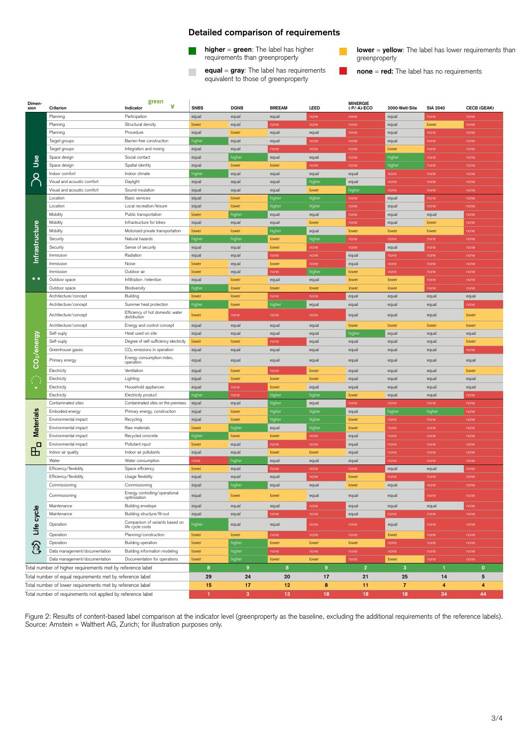#### **Detailed comparison of requirements**

- requirements than greenproperty
	- **equal** = **gray**: The label has requirements **none** = **red:** The label has no requirements equivalent to those of greenproperty

**higher = green**: The label has higher **lower = yellow**: The label has lower requirements than requirements than greenproperty

| Dimen-<br>sion                                              |                                | green<br>У<br>Indicator                             | <b>SNBS</b>     | <b>DGNB</b>     | <b>BREEAM</b>   | LEED           | <b>MINERGIE</b><br>$(-P/-A)-ECO$ | 2000-Watt-Site | <b>SIA 2040</b> | <b>CECB (GEAK)</b> |
|-------------------------------------------------------------|--------------------------------|-----------------------------------------------------|-----------------|-----------------|-----------------|----------------|----------------------------------|----------------|-----------------|--------------------|
|                                                             | Criterion<br>Planning          | Participation                                       | equal           | equal           | equal           | none           | none                             | equal          | none            | none               |
| 9ع<br>ا                                                     | Planning                       | Structural density                                  | lower           | equal           | none            | none           | none                             | equal          | lower           | none               |
|                                                             | Planning                       | Procedure                                           | equal           | lower           | equal           | equal          | none                             | equal          | none            | none               |
|                                                             | Target groups                  | Barrier-free construction                           | higher          | equal           | equal           | none           | none                             | equal          | none            | none               |
|                                                             | Target groups                  | Integration and mixing                              | equal           | equal           | none            | none           | none                             | lower          | none            | none               |
|                                                             | Space design                   | Social contact                                      | equal           | higher          | equal           | equal          | none                             | higher         | none            | none               |
|                                                             | Space design                   | Spatial identity                                    | equal           | lower           | lower           | none           | none                             | higher         | none            | none               |
|                                                             | Indoor comfort                 | Indoor climate                                      | higher          | equal           | equal           | equal          | equal                            | none           | none            | none               |
|                                                             | Visual and acoustic comfort    | Daylight                                            | equal           | equal           | equal           | higher         | equal                            | none           | none            | none               |
|                                                             | Visual and acoustic comfort    | Sound insulation                                    | equal           | egual           | equal           | lower          | higher                           | none           | none            | none               |
| Infrastructure<br>$^{\circ}$                                | Location                       | Basic services                                      | equal           | lower           | higher          | higher         | none                             | equal          | none            | none               |
|                                                             | Location                       | Local recreation/leisure                            | equal           | lower           | higher          | higher         | none                             | equal          | none            | none               |
|                                                             | Mobility                       | Public transportation                               | lower           | higher          | equal           | equal          | none                             | equal          | equal           | none               |
|                                                             | Mobility                       | Infrastructure for bikes                            | equal           | equal           | equal           | lower          | none                             | equal          | lower           | none               |
|                                                             | Mobility                       | Motorized private transportation                    | lower           | lower           | higher          | equal          | lower                            | lower          | lower           | none               |
|                                                             | Security                       | Natural hazards                                     | higher          | higher          | lower           | higher         | none                             | none           | none            | none               |
|                                                             | Security                       | Sense of security                                   | equal           | equal           | lower           | none           | none                             | equal          | none            | none               |
|                                                             | Immission                      | Radiation                                           | equal           | equal           | none            | none           | equal                            | none           | none            | none               |
|                                                             | Immission                      | Noise                                               | lower           | equal           | lower           | none           | equal                            | none           | none            | none               |
|                                                             | Immission                      | Outdoor air                                         | lower           | equal           | none            | higher         | lower                            | none           | none            | none               |
|                                                             | Outdoor space<br>Outdoor space | Infiltration /retention                             | equal           | lower           | equal           | equal          | lower                            | lower          | none            | none               |
|                                                             | Architecture/concept           | Biodiversity<br>Building                            | higher<br>lower | lower<br>lower  | lower<br>none   | lower<br>none  | lower<br>equal                   | lower<br>equal | none<br>equal   | none<br>equal      |
| $\overline{\text{CO}_2}$ /energy<br>$\equiv$                | Architecture/concept           | Summer heat protection                              | higher          | lower           | higher          | equal          | equal                            | equal          | equal           | none               |
|                                                             |                                | Efficiency of hot domestic water                    |                 |                 |                 |                |                                  |                |                 |                    |
|                                                             | Architecture/concept           | distribution                                        | lower           | none            | none            | none           | equal                            | equal          | equal           | lower              |
|                                                             | Architecture/concept           | Energy and control concept                          | equal           | equal           | equal           | equal          | lower                            | lower          | lower           | lower              |
|                                                             | Self-suply                     | Heat used on site                                   | equal           | equal           | equal           | equal          | higher                           | equal          | equal           | equal              |
|                                                             | Self-suply                     | Degree of self-sufficiency electricity              | lower           | lower           | none            | equal          | equal                            | equal          | equal           | lower              |
|                                                             | Greenhouse gases               | CO <sub>2</sub> emissions in operation              | equal           | equal           | equal           | equal          | equal                            | equal          | equal           | none               |
|                                                             | Primary energy                 | Energy consumption index,<br>operation              | equal           | equal           | equal           | equal          | equal                            | equal          | equal           | equal              |
|                                                             | Electricity                    | Ventilation                                         | equal           | lower           | none            | lower          | equal                            | equal          | equal           | lower              |
|                                                             | Electricity                    | Lighting                                            | equal           | lower           | lower           | lower          | equal                            | equal          | equal           | equal              |
|                                                             | Electricity                    | Household appliances                                | equal           | none            | lower           | equal          | equal                            | equal          | equal           | equal              |
|                                                             | Electricity                    | Electricity product                                 | higher          | none            | higher          | higher         | lower                            | equal          | equal           | none               |
| Materials<br>п<br>出                                         | Contaminated sites             | Contaminated sites on the premises                  | equal           | equal           | higher          | equal          | none                             | none           | none            | none               |
|                                                             | Embodied energy                | Primary energy, construction                        | equal           | lower           | higher          | higher         | equal                            | highe          | higher          | none               |
|                                                             | Environmental impact           | Recycling                                           | equal           | lower           | higher          | higher         | lower                            | none           | none            | none               |
|                                                             | Environmental impact           | Raw materials                                       | lower           | higher          | equal           | higher         | lower                            | none           | none            | none               |
|                                                             | Environmental impact           | Recycled concrete                                   | higher          | lower           | lowe            | none           | equal                            | none           | none            | none               |
|                                                             | Environmental impact           | Pollutant input                                     | lower           | equal           | none            | none           | equal                            | none           | none            | none               |
|                                                             | Indoor air quality<br>Water    | Indoor air pollutants                               | equal           | equal           | lower           | lower          | equal                            | none           | none            | none               |
|                                                             | Efficiency/flexibility         | Water consumption<br>Space efficiency               | none<br>lower   | higher<br>equal | equal<br>none   | equal<br>none  | equal<br>none                    | none<br>equal  | none<br>equal   | none<br>none       |
| Life cycle<br>ନ୍ମ                                           | Efficiency/flexibility         | Usage flexibility                                   | equal           | equal           | equal           | none           | lower                            | none           | none            | none               |
|                                                             | Commissioning                  | Commissioning                                       | equal           | higher          | equal           | equal          | lower                            | equal          | none            | none               |
|                                                             |                                | Energy controlling/operational                      |                 |                 |                 |                |                                  |                |                 |                    |
|                                                             | Commissioning                  | optimization                                        | equal           | lower           | <b>TOWER</b>    | equal          | equal                            | equal          | none            | none               |
|                                                             | Maintenance                    | Building envelope                                   | equal           | equal           | equal           | none           | equal                            | equal          | equal           | none               |
|                                                             | Maintenance                    | Building structure/fit-out                          | equal           | equal           | none            | none           | equal                            | none           | none            | none               |
|                                                             | Operation                      | Comparison of variants based on<br>life cycle costs | higher          | equal           | equal           | none           | none                             | equal          | none            | none               |
|                                                             | Operation                      | Planning/construction                               | lower           | lower           | none            | none           | none                             | lower          | none            | none               |
|                                                             | Operation                      | Building operation                                  | lower           | higher          | lower           | lower          | lower                            | none           | none            | none               |
|                                                             | Data management/documentation  | Building information modeling                       | lower           | higher          | none            | none           | none                             | none           | none            | none               |
|                                                             | Data management/documentation  | Documentation for operations                        | lower           | higher          | lower           | lower          | none                             | lower          | none            | none               |
| Total number of higher requirements met by reference label  |                                |                                                     | 8               | 9               | 8               | 9 <sup>°</sup> | $\overline{2}$                   | $\mathbf{3}$   | $\mathbf{1}$    | $\mathbf 0$        |
| Total number of equal requirements met by reference label   |                                |                                                     | 29              | 24              | 20              | 17             | 21                               | 25             | 14              | 5                  |
| Total number of lower requirements met by reference label   |                                |                                                     | 15              | 17              | 12              | 8              | 11                               | $\overline{7}$ | 4               | 4                  |
| Total number of requirements not applied by reference label |                                |                                                     | 1               | $\mathbf{3}$    | 13 <sub>1</sub> | 18             | 18                               | 18             | 34              | 44                 |

Figure 2: Results of content-based label comparison at the indicator level (greenproperty as the baseline, excluding the additional requirements of the reference labels). Source: Amstein + Walthert AG, Zurich; for illustration purposes only.